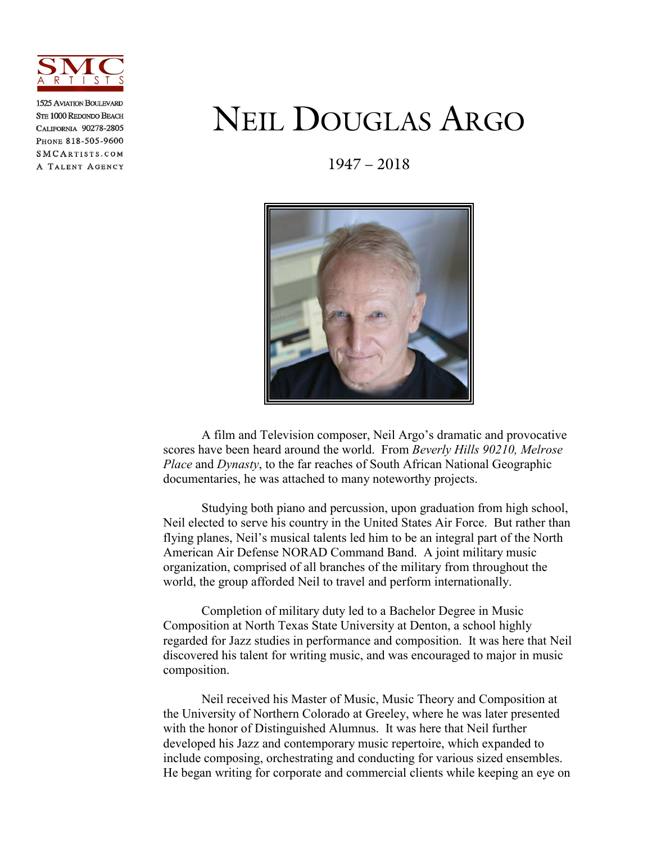

**1525 AVIATION BOLT EVARD STE 1000 REDONDO BEACH** CALIFORNIA 90278-2805 PHONE 818-505-9600 SMCARTISTS.COM A TALENT AGENCY

## NEIL DOUGLAS ARGO

1947 – 2018



A film and Television composer, Neil Argo's dramatic and provocative scores have been heard around the world. From *Beverly Hills 90210, Melrose Place* and *Dynasty*, to the far reaches of South African National Geographic documentaries, he was attached to many noteworthy projects.

 Studying both piano and percussion, upon graduation from high school, Neil elected to serve his country in the United States Air Force. But rather than flying planes, Neil's musical talents led him to be an integral part of the North American Air Defense NORAD Command Band. A joint military music organization, comprised of all branches of the military from throughout the world, the group afforded Neil to travel and perform internationally.

 Completion of military duty led to a Bachelor Degree in Music Composition at North Texas State University at Denton, a school highly regarded for Jazz studies in performance and composition. It was here that Neil discovered his talent for writing music, and was encouraged to major in music composition.

 Neil received his Master of Music, Music Theory and Composition at the University of Northern Colorado at Greeley, where he was later presented with the honor of Distinguished Alumnus. It was here that Neil further developed his Jazz and contemporary music repertoire, which expanded to include composing, orchestrating and conducting for various sized ensembles. He began writing for corporate and commercial clients while keeping an eye on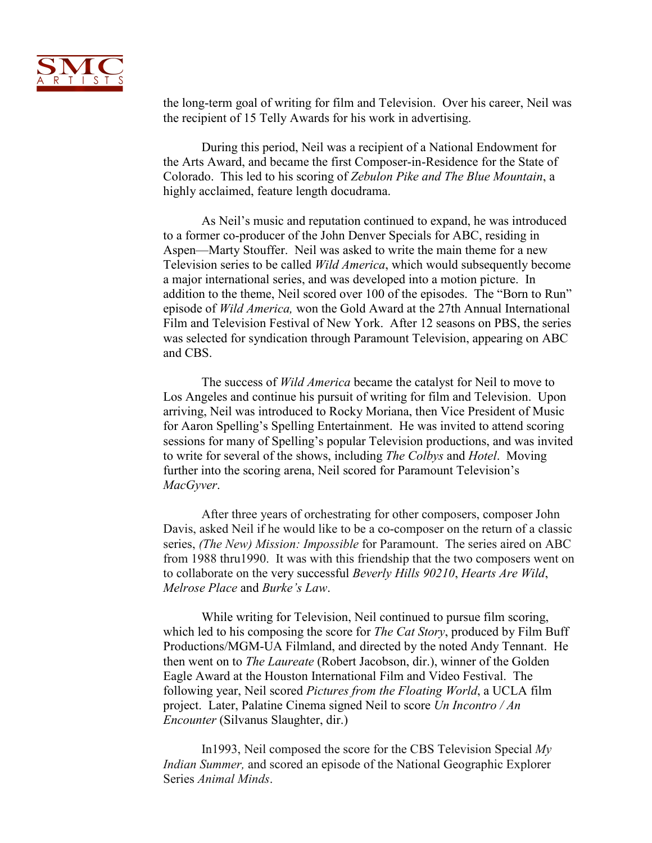

the long-term goal of writing for film and Television. Over his career, Neil was the recipient of 15 Telly Awards for his work in advertising.

 During this period, Neil was a recipient of a National Endowment for the Arts Award, and became the first Composer-in-Residence for the State of Colorado. This led to his scoring of *Zebulon Pike and The Blue Mountain*, a highly acclaimed, feature length docudrama.

 As Neil's music and reputation continued to expand, he was introduced to a former co-producer of the John Denver Specials for ABC, residing in Aspen—Marty Stouffer. Neil was asked to write the main theme for a new Television series to be called *Wild America*, which would subsequently become a major international series, and was developed into a motion picture. In addition to the theme, Neil scored over 100 of the episodes. The "Born to Run" episode of *Wild America,* won the Gold Award at the 27th Annual International Film and Television Festival of New York. After 12 seasons on PBS, the series was selected for syndication through Paramount Television, appearing on ABC and CBS.

 The success of *Wild America* became the catalyst for Neil to move to Los Angeles and continue his pursuit of writing for film and Television. Upon arriving, Neil was introduced to Rocky Moriana, then Vice President of Music for Aaron Spelling's Spelling Entertainment. He was invited to attend scoring sessions for many of Spelling's popular Television productions, and was invited to write for several of the shows, including *The Colbys* and *Hotel*. Moving further into the scoring arena, Neil scored for Paramount Television's *MacGyver*.

After three years of orchestrating for other composers, composer John Davis, asked Neil if he would like to be a co-composer on the return of a classic series, *(The New) Mission: Impossible* for Paramount. The series aired on ABC from 1988 thru1990. It was with this friendship that the two composers went on to collaborate on the very successful *Beverly Hills 90210*, *Hearts Are Wild*, *Melrose Place* and *Burke's Law*.

 While writing for Television, Neil continued to pursue film scoring, which led to his composing the score for *The Cat Story*, produced by Film Buff Productions/MGM-UA Filmland, and directed by the noted Andy Tennant. He then went on to *The Laureate* (Robert Jacobson, dir.), winner of the Golden Eagle Award at the Houston International Film and Video Festival. The following year, Neil scored *Pictures from the Floating World*, a UCLA film project. Later, Palatine Cinema signed Neil to score *Un Incontro / An Encounter* (Silvanus Slaughter, dir.)

In1993, Neil composed the score for the CBS Television Special *My Indian Summer,* and scored an episode of the National Geographic Explorer Series *Animal Minds*.